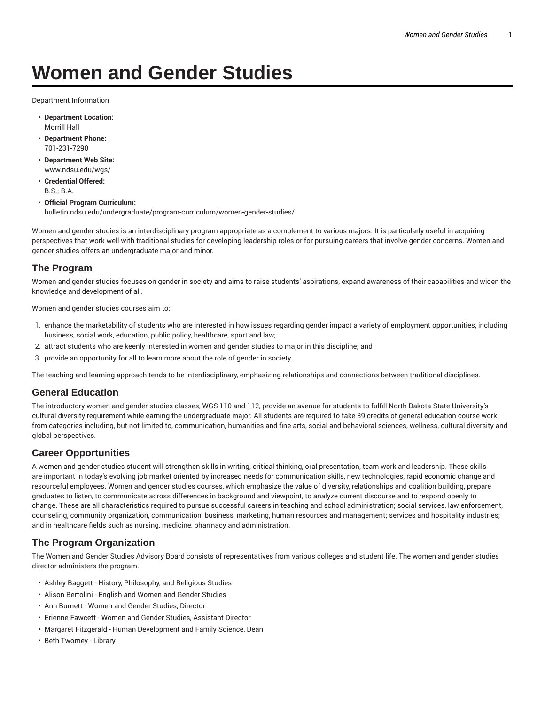# **Women and Gender Studies**

Department Information

- **Department Location:** Morrill Hall
- **Department Phone:** 701-231-7290
- **Department Web Site:** www.ndsu.edu/wgs/
- **Credential Offered:** B.S.; B.A.
- **Official Program Curriculum:** bulletin.ndsu.edu/undergraduate/program-curriculum/women-gender-studies/

Women and gender studies is an interdisciplinary program appropriate as a complement to various majors. It is particularly useful in acquiring perspectives that work well with traditional studies for developing leadership roles or for pursuing careers that involve gender concerns. Women and gender studies offers an undergraduate major and minor.

### **The Program**

Women and gender studies focuses on gender in society and aims to raise students' aspirations, expand awareness of their capabilities and widen the knowledge and development of all.

Women and gender studies courses aim to:

- 1. enhance the marketability of students who are interested in how issues regarding gender impact a variety of employment opportunities, including business, social work, education, public policy, healthcare, sport and law;
- 2. attract students who are keenly interested in women and gender studies to major in this discipline; and
- 3. provide an opportunity for all to learn more about the role of gender in society.

The teaching and learning approach tends to be interdisciplinary, emphasizing relationships and connections between traditional disciplines.

#### **General Education**

The introductory women and gender studies classes, WGS 110 and 112, provide an avenue for students to fulfill North Dakota State University's cultural diversity requirement while earning the undergraduate major. All students are required to take 39 credits of general education course work from categories including, but not limited to, communication, humanities and fine arts, social and behavioral sciences, wellness, cultural diversity and global perspectives.

#### **Career Opportunities**

A women and gender studies student will strengthen skills in writing, critical thinking, oral presentation, team work and leadership. These skills are important in today's evolving job market oriented by increased needs for communication skills, new technologies, rapid economic change and resourceful employees. Women and gender studies courses, which emphasize the value of diversity, relationships and coalition building, prepare graduates to listen, to communicate across differences in background and viewpoint, to analyze current discourse and to respond openly to change. These are all characteristics required to pursue successful careers in teaching and school administration; social services, law enforcement, counseling, community organization, communication, business, marketing, human resources and management; services and hospitality industries; and in healthcare fields such as nursing, medicine, pharmacy and administration.

#### **The Program Organization**

The Women and Gender Studies Advisory Board consists of representatives from various colleges and student life. The women and gender studies director administers the program.

- Ashley Baggett History, Philosophy, and Religious Studies
- Alison Bertolini English and Women and Gender Studies
- Ann Burnett Women and Gender Studies, Director
- Erienne Fawcett Women and Gender Studies, Assistant Director
- Margaret Fitzgerald Human Development and Family Science, Dean
- Beth Twomey Library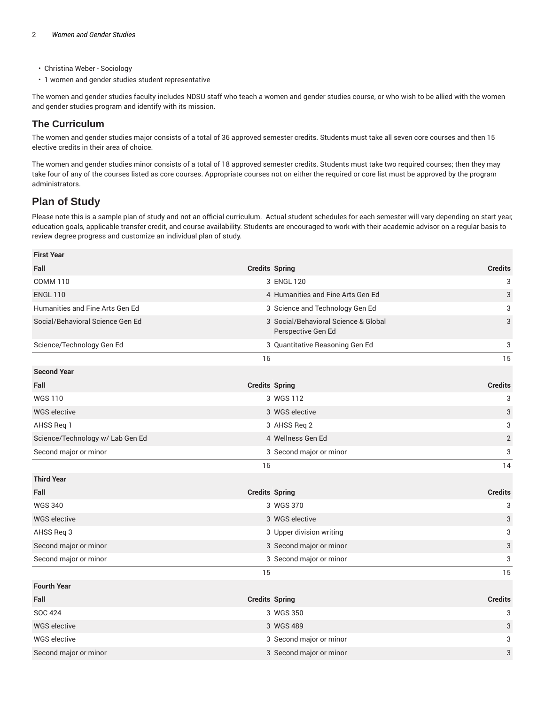- Christina Weber Sociology
- 1 women and gender studies student representative

The women and gender studies faculty includes NDSU staff who teach a women and gender studies course, or who wish to be allied with the women and gender studies program and identify with its mission.

### **The Curriculum**

The women and gender studies major consists of a total of 36 approved semester credits. Students must take all seven core courses and then 15 elective credits in their area of choice.

The women and gender studies minor consists of a total of 18 approved semester credits. Students must take two required courses; then they may take four of any of the courses listed as core courses. Appropriate courses not on either the required or core list must be approved by the program administrators.

## **Plan of Study**

Please note this is a sample plan of study and not an official curriculum. Actual student schedules for each semester will vary depending on start year, education goals, applicable transfer credit, and course availability. Students are encouraged to work with their academic advisor on a regular basis to review degree progress and customize an individual plan of study.

| <b>First Year</b>                |                                                            |                |
|----------------------------------|------------------------------------------------------------|----------------|
| Fall                             | <b>Credits Spring</b>                                      | <b>Credits</b> |
| <b>COMM 110</b>                  | 3 ENGL 120                                                 | 3              |
| <b>ENGL 110</b>                  | 4 Humanities and Fine Arts Gen Ed                          | 3              |
| Humanities and Fine Arts Gen Ed  | 3 Science and Technology Gen Ed                            | 3              |
| Social/Behavioral Science Gen Ed | 3 Social/Behavioral Science & Global<br>Perspective Gen Ed | 3              |
| Science/Technology Gen Ed        | 3 Quantitative Reasoning Gen Ed                            | 3              |
|                                  | 16                                                         | 15             |
| <b>Second Year</b>               |                                                            |                |
| Fall                             | <b>Credits Spring</b>                                      | <b>Credits</b> |
| <b>WGS110</b>                    | 3 WGS 112                                                  | 3              |
| <b>WGS</b> elective              | 3 WGS elective                                             | 3              |
| AHSS Req 1                       | 3 AHSS Req 2                                               | 3              |
| Science/Technology w/ Lab Gen Ed | 4 Wellness Gen Ed                                          | $\overline{2}$ |
| Second major or minor            | 3 Second major or minor                                    | 3              |
|                                  | 16                                                         | 14             |
| <b>Third Year</b>                |                                                            |                |
| Fall                             | <b>Credits Spring</b>                                      | <b>Credits</b> |
| <b>WGS 340</b>                   | 3 WGS 370                                                  | 3              |
| WGS elective                     | 3 WGS elective                                             | 3              |
| AHSS Req 3                       | 3 Upper division writing                                   | 3              |
| Second major or minor            | 3 Second major or minor                                    | 3              |
| Second major or minor            | 3 Second major or minor                                    | 3              |
|                                  | 15                                                         | 15             |
| <b>Fourth Year</b>               |                                                            |                |
| Fall                             | <b>Credits Spring</b>                                      | <b>Credits</b> |
| <b>SOC 424</b>                   | 3 WGS 350                                                  | 3              |
| <b>WGS</b> elective              | 3 WGS 489                                                  | 3              |
| <b>WGS elective</b>              | 3 Second major or minor                                    | 3              |
| Second major or minor            | 3 Second major or minor                                    | 3              |